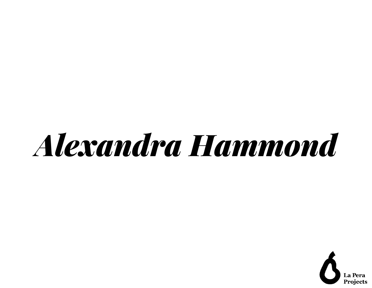# *Alexandra Hammond*

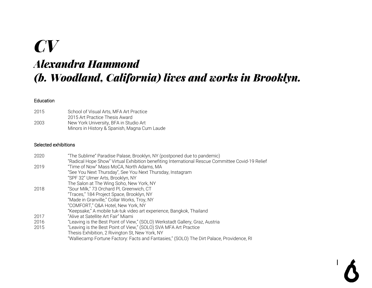# *CV Alexandra Hammond (b. Woodland, California) lives and works in Brooklyn.*

#### Education

| 2015 | School of Visual Arts, MFA Art Practice      |
|------|----------------------------------------------|
|      | 2015 Art Practice Thesis Award               |
| 2003 | New York University, BFA in Studio Art       |
|      | Minors in History & Spanish, Magna Cum Laude |

#### Selected exhibitions

| 2020 | "The Sublime" Paradise Palase, Brooklyn, NY (postponed due to pandemic)                          |
|------|--------------------------------------------------------------------------------------------------|
|      | "Radical Hope Show" Virtual Exhibition benefiting International Rescue Committee Covid-19 Relief |
| 2019 | "Time of Now" Mass MoCA, North Adams, MA                                                         |
|      | "See You Next Thursday", See You Next Thursday, Instagram                                        |
|      | "SPF 32" Ulmer Arts, Brooklyn, NY                                                                |
|      | The Salon at The Wing Soho, New York, NY                                                         |
| 2018 | "Sour Milk," 73 Orchard Pl, Greenwich, CT                                                        |
|      | "Traces," 184 Project Space, Brooklyn, NY                                                        |
|      | "Made in Granville," Collar Works, Troy, NY                                                      |
|      | "COMFORT," Q&A Hotel, New York, NY                                                               |
|      | "Keepsake," A mobile tuk-tuk video art experience, Bangkok, Thailand                             |
| 2017 | "Alive at Satellite Art Fair" Miami                                                              |
| 2016 | "Leaving is the Best Point of View," (SOLO) Werkstadt Gallery, Graz, Austria                     |
| 2015 | "Leaving is the Best Point of View," (SOLO) SVA MFA Art Practice                                 |
|      | Thesis Exhibition, 2 Rivington St, New York, NY                                                  |
|      | "Walliecamp Fortune Factory: Facts and Fantasies," (SOLO) The Dirt Palace, Providence, RI        |
|      |                                                                                                  |

I